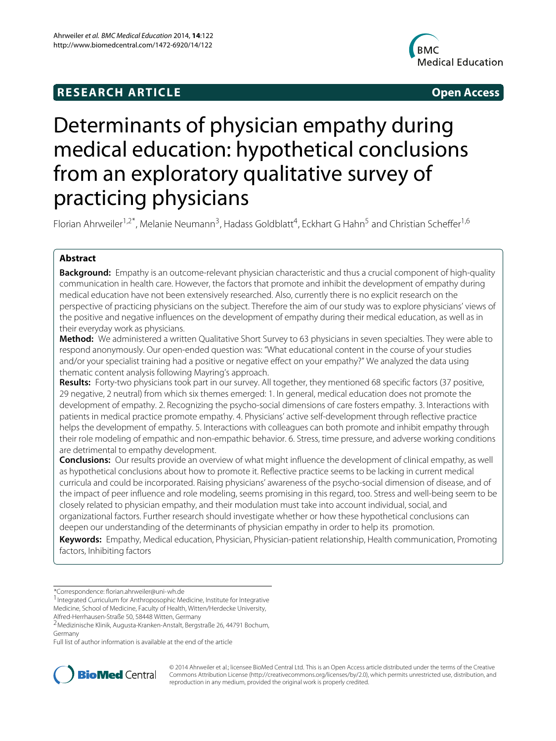## **RESEARCH ARTICLE Open Access**



# Determinants of physician empathy during medical education: hypothetical conclusions from an exploratory qualitative survey of practicing physicians

Florian Ahrweiler<sup>1,2\*</sup>, Melanie Neumann<sup>3</sup>, Hadass Goldblatt<sup>4</sup>, Eckhart G Hahn<sup>5</sup> and Christian Scheffer<sup>1,6</sup>

## **Abstract**

**Background:** Empathy is an outcome-relevant physician characteristic and thus a crucial component of high-quality communication in health care. However, the factors that promote and inhibit the development of empathy during medical education have not been extensively researched. Also, currently there is no explicit research on the perspective of practicing physicians on the subject. Therefore the aim of our study was to explore physicians' views of the positive and negative influences on the development of empathy during their medical education, as well as in their everyday work as physicians.

**Method:** We administered a written Qualitative Short Survey to 63 physicians in seven specialties. They were able to respond anonymously. Our open-ended question was: "What educational content in the course of your studies and/or your specialist training had a positive or negative effect on your empathy?" We analyzed the data using thematic content analysis following Mayring's approach.

**Results:** Forty-two physicians took part in our survey. All together, they mentioned 68 specific factors (37 positive, 29 negative, 2 neutral) from which six themes emerged: 1. In general, medical education does not promote the development of empathy. 2. Recognizing the psycho-social dimensions of care fosters empathy. 3. Interactions with patients in medical practice promote empathy. 4. Physicians' active self-development through reflective practice helps the development of empathy. 5. Interactions with colleagues can both promote and inhibit empathy through their role modeling of empathic and non-empathic behavior. 6. Stress, time pressure, and adverse working conditions are detrimental to empathy development.

**Conclusions:** Our results provide an overview of what might influence the development of clinical empathy, as well as hypothetical conclusions about how to promote it. Reflective practice seems to be lacking in current medical curricula and could be incorporated. Raising physicians' awareness of the psycho-social dimension of disease, and of the impact of peer influence and role modeling, seems promising in this regard, too. Stress and well-being seem to be closely related to physician empathy, and their modulation must take into account individual, social, and organizational factors. Further research should investigate whether or how these hypothetical conclusions can deepen our understanding of the determinants of physician empathy in order to help its promotion.

**Keywords:** Empathy, Medical education, Physician, Physician-patient relationship, Health communication, Promoting factors, Inhibiting factors

Alfred-Herrhausen-Straße 50, 58448 Witten, Germany<br><sup>2</sup> Medizinische Klinik, Augusta-Kranken-Anstalt, Bergstraße 26, 44791 Bochum,

Full list of author information is available at the end of the article



© 2014 Ahrweiler et al.; licensee BioMed Central Ltd. This is an Open Access article distributed under the terms of the Creative Commons Attribution License [\(http://creativecommons.org/licenses/by/2.0\)](http://creativecommons.org/licenses/by/2.0), which permits unrestricted use, distribution, and reproduction in any medium, provided the original work is properly credited.

<sup>\*</sup>Correspondence: [florian.ahrweiler@uni-wh.de](mailto:florian.ahrweiler@uni-wh.de)

<sup>&</sup>lt;sup>1</sup> Integrated Curriculum for Anthroposophic Medicine, Institute for Integrative Medicine, School of Medicine, Faculty of Health, Witten/Herdecke University,

Germany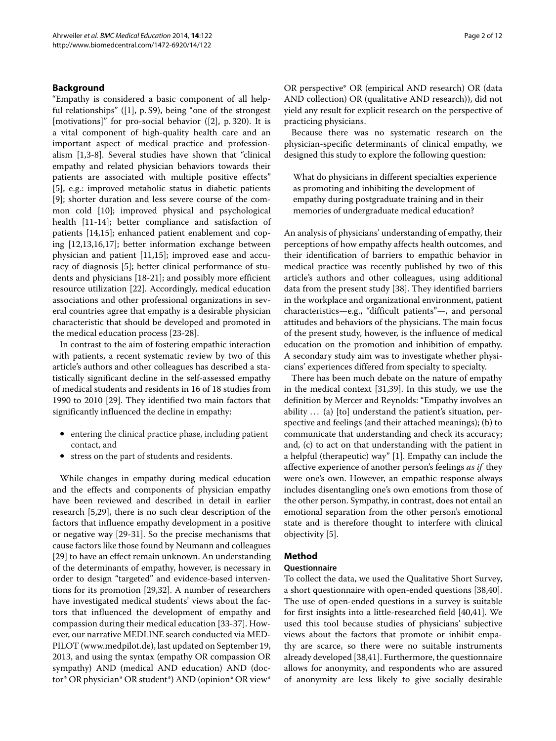#### **Background**

"Empathy is considered a basic component of all helpful relationships" ([\[1\]](#page-10-0), p. S9), being "one of the strongest [motivations]" for pro-social behavior ([\[2\]](#page-10-1), p. 320). It is a vital component of high-quality health care and an important aspect of medical practice and professionalism [\[1,](#page-10-0)[3-](#page-10-2)[8\]](#page-10-3). Several studies have shown that "clinical empathy and related physician behaviors towards their patients are associated with multiple positive effects" [\[5\]](#page-10-4), e.g.: improved metabolic status in diabetic patients [\[9\]](#page-10-5); shorter duration and less severe course of the common cold [\[10\]](#page-10-6); improved physical and psychological health [\[11-](#page-10-7)[14\]](#page-10-8); better compliance and satisfaction of patients [\[14](#page-10-8)[,15\]](#page-10-9); enhanced patient enablement and coping [\[12](#page-10-10)[,13](#page-10-11)[,16](#page-10-12)[,17\]](#page-10-13); better information exchange between physician and patient [\[11](#page-10-7)[,15\]](#page-10-9); improved ease and accuracy of diagnosis [\[5\]](#page-10-4); better clinical performance of students and physicians [\[18-](#page-10-14)[21\]](#page-10-15); and possibly more efficient resource utilization [\[22\]](#page-10-16). Accordingly, medical education associations and other professional organizations in several countries agree that empathy is a desirable physician characteristic that should be developed and promoted in the medical education process [\[23](#page-10-17)[-28\]](#page-10-18).

In contrast to the aim of fostering empathic interaction with patients, a recent systematic review by two of this article's authors and other colleagues has described a statistically significant decline in the self-assessed empathy of medical students and residents in 16 of 18 studies from 1990 to 2010 [\[29\]](#page-10-19). They identified two main factors that significantly influenced the decline in empathy:

- entering the clinical practice phase, including patient contact, and
- stress on the part of students and residents.

While changes in empathy during medical education and the effects and components of physician empathy have been reviewed and described in detail in earlier research [\[5](#page-10-4)[,29\]](#page-10-19), there is no such clear description of the factors that influence empathy development in a positive or negative way [\[29](#page-10-19)[-31\]](#page-10-20). So the precise mechanisms that cause factors like those found by Neumann and colleagues [\[29\]](#page-10-19) to have an effect remain unknown. An understanding of the determinants of empathy, however, is necessary in order to design "targeted" and evidence-based interventions for its promotion [\[29,](#page-10-19)[32\]](#page-10-21). A number of researchers have investigated medical students' views about the factors that influenced the development of empathy and compassion during their medical education [\[33-](#page-10-22)[37\]](#page-11-0). However, our narrative MEDLINE search conducted via MED-PILOT [\(www.medpilot.de\)](www.medpilot.de), last updated on September 19, 2013, and using the syntax (empathy OR compassion OR sympathy) AND (medical AND education) AND (doctor\* OR physician\* OR student\*) AND (opinion\* OR view\*

OR perspective\* OR (empirical AND research) OR (data AND collection) OR (qualitative AND research)), did not yield any result for explicit research on the perspective of practicing physicians.

Because there was no systematic research on the physician-specific determinants of clinical empathy, we designed this study to explore the following question:

What do physicians in different specialties experience as promoting and inhibiting the development of empathy during postgraduate training and in their memories of undergraduate medical education?

An analysis of physicians' understanding of empathy, their perceptions of how empathy affects health outcomes, and their identification of barriers to empathic behavior in medical practice was recently published by two of this article's authors and other colleagues, using additional data from the present study [\[38\]](#page-11-1). They identified barriers in the workplace and organizational environment, patient characteristics—e.g., "difficult patients"—, and personal attitudes and behaviors of the physicians. The main focus of the present study, however, is the influence of medical education on the promotion and inhibition of empathy. A secondary study aim was to investigate whether physicians' experiences differed from specialty to specialty.

There has been much debate on the nature of empathy in the medical context [\[31](#page-10-20)[,39\]](#page-11-2). In this study, we use the definition by Mercer and Reynolds: "Empathy involves an ability  $\ldots$  (a) [to] understand the patient's situation, perspective and feelings (and their attached meanings); (b) to communicate that understanding and check its accuracy; and, (c) to act on that understanding with the patient in a helpful (therapeutic) way" [\[1\]](#page-10-0). Empathy can include the affective experience of another person's feelings *as if* they were one's own. However, an empathic response always includes disentangling one's own emotions from those of the other person. Sympathy, in contrast, does not entail an emotional separation from the other person's emotional state and is therefore thought to interfere with clinical objectivity [\[5\]](#page-10-4).

## **Method**

#### **Questionnaire**

To collect the data, we used the Qualitative Short Survey, a short questionnaire with open-ended questions [\[38,](#page-11-1)[40\]](#page-11-3). The use of open-ended questions in a survey is suitable for first insights into a little-researched field [\[40,](#page-11-3)[41\]](#page-11-4). We used this tool because studies of physicians' subjective views about the factors that promote or inhibit empathy are scarce, so there were no suitable instruments already developed [\[38,](#page-11-1)[41\]](#page-11-4). Furthermore, the questionnaire allows for anonymity, and respondents who are assured of anonymity are less likely to give socially desirable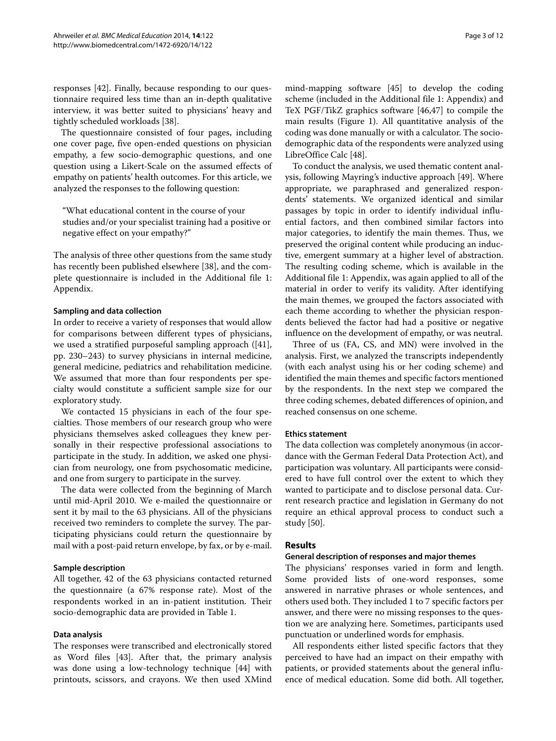responses [\[42\]](#page-11-5). Finally, because responding to our questionnaire required less time than an in-depth qualitative interview, it was better suited to physicians' heavy and tightly scheduled workloads [\[38\]](#page-11-1).

The questionnaire consisted of four pages, including one cover page, five open-ended questions on physician empathy, a few socio-demographic questions, and one question using a Likert-Scale on the assumed effects of empathy on patients' health outcomes. For this article, we analyzed the responses to the following question:

"What educational content in the course of your studies and/or your specialist training had a positive or negative effect on your empathy?"

The analysis of three other questions from the same study has recently been published elsewhere [\[38\]](#page-11-1), and the complete questionnaire is included in the Additional file [1:](#page-9-0) Appendix.

#### **Sampling and data collection**

In order to receive a variety of responses that would allow for comparisons between different types of physicians, we used a stratified purposeful sampling approach ([\[41\]](#page-11-4), pp. 230–243) to survey physicians in internal medicine, general medicine, pediatrics and rehabilitation medicine. We assumed that more than four respondents per specialty would constitute a sufficient sample size for our exploratory study.

We contacted 15 physicians in each of the four specialties. Those members of our research group who were physicians themselves asked colleagues they knew personally in their respective professional associations to participate in the study. In addition, we asked one physician from neurology, one from psychosomatic medicine, and one from surgery to participate in the survey.

The data were collected from the beginning of March until mid-April 2010. We e-mailed the questionnaire or sent it by mail to the 63 physicians. All of the physicians received two reminders to complete the survey. The participating physicians could return the questionnaire by mail with a post-paid return envelope, by fax, or by e-mail.

#### **Sample description**

All together, 42 of the 63 physicians contacted returned the questionnaire (a 67% response rate). Most of the respondents worked in an in-patient institution. Their socio-demographic data are provided in Table [1.](#page-3-0)

#### **Data analysis**

The responses were transcribed and electronically stored as Word files [\[43\]](#page-11-6). After that, the primary analysis was done using a low-technology technique [\[44\]](#page-11-7) with printouts, scissors, and crayons. We then used XMind mind-mapping software [\[45\]](#page-11-8) to develop the coding scheme (included in the Additional file [1:](#page-9-0) Appendix) and TeX PGF/TikZ graphics software [\[46,](#page-11-9)[47\]](#page-11-10) to compile the main results (Figure [1\)](#page-3-1). All quantitative analysis of the coding was done manually or with a calculator. The sociodemographic data of the respondents were analyzed using LibreOffice Calc [\[48\]](#page-11-11).

To conduct the analysis, we used thematic content analysis, following Mayring's inductive approach [\[49\]](#page-11-12). Where appropriate, we paraphrased and generalized respondents' statements. We organized identical and similar passages by topic in order to identify individual influential factors, and then combined similar factors into major categories, to identify the main themes. Thus, we preserved the original content while producing an inductive, emergent summary at a higher level of abstraction. The resulting coding scheme, which is available in the Additional file [1:](#page-9-0) Appendix, was again applied to all of the material in order to verify its validity. After identifying the main themes, we grouped the factors associated with each theme according to whether the physician respondents believed the factor had had a positive or negative influence on the development of empathy, or was neutral.

Three of us (FA, CS, and MN) were involved in the analysis. First, we analyzed the transcripts independently (with each analyst using his or her coding scheme) and identified the main themes and specific factors mentioned by the respondents. In the next step we compared the three coding schemes, debated differences of opinion, and reached consensus on one scheme.

#### **Ethics statement**

The data collection was completely anonymous (in accordance with the German Federal Data Protection Act), and participation was voluntary. All participants were considered to have full control over the extent to which they wanted to participate and to disclose personal data. Current research practice and legislation in Germany do not require an ethical approval process to conduct such a study [\[50\]](#page-11-13).

#### <span id="page-2-0"></span>**Results**

#### **General description of responses and major themes**

The physicians' responses varied in form and length. Some provided lists of one-word responses, some answered in narrative phrases or whole sentences, and others used both. They included 1 to 7 specific factors per answer, and there were no missing responses to the question we are analyzing here. Sometimes, participants used punctuation or underlined words for emphasis.

All respondents either listed specific factors that they perceived to have had an impact on their empathy with patients, or provided statements about the general influence of medical education. Some did both. All together,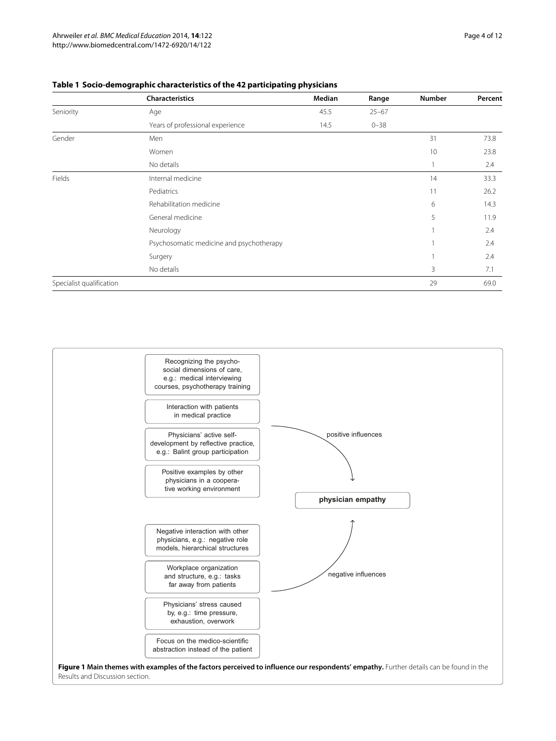<span id="page-3-0"></span>

|                          | Characteristics                          | Median | Range     | Number | Percent |
|--------------------------|------------------------------------------|--------|-----------|--------|---------|
| Seniority                | Age                                      | 45.5   | $25 - 67$ |        |         |
|                          | Years of professional experience         | 14.5   | $0 - 38$  |        |         |
| Gender                   | Men                                      |        |           | 31     | 73.8    |
|                          | Women                                    |        |           | 10     | 23.8    |
|                          | No details                               |        |           |        | 2.4     |
| Fields                   | Internal medicine                        |        |           | 14     | 33.3    |
|                          | Pediatrics                               |        |           | 11     | 26.2    |
|                          | Rehabilitation medicine                  |        |           | 6      | 14.3    |
|                          | General medicine                         |        |           | 5      | 11.9    |
|                          | Neurology                                |        |           |        | 2.4     |
|                          | Psychosomatic medicine and psychotherapy |        |           |        | 2.4     |
|                          | Surgery                                  |        |           |        | 2.4     |
|                          | No details                               |        |           | 3      | 7.1     |
| Specialist qualification |                                          |        |           | 29     | 69.0    |

#### **Table 1 Socio-demographic characteristics of the 42 participating physicians**

<span id="page-3-1"></span>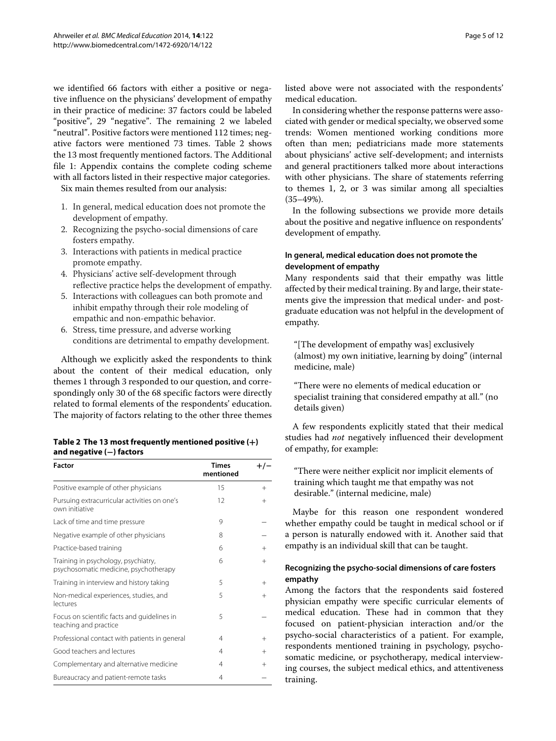we identified 66 factors with either a positive or negative influence on the physicians' development of empathy in their practice of medicine: 37 factors could be labeled "positive", 29 "negative". The remaining 2 we labeled "neutral". Positive factors were mentioned 112 times; negative factors were mentioned 73 times. Table [2](#page-4-0) shows the 13 most frequently mentioned factors. The Additional file [1:](#page-9-0) Appendix contains the complete coding scheme with all factors listed in their respective major categories.

Six main themes resulted from our analysis:

- 1. In general, medical education does not promote the development of empathy.
- 2. Recognizing the psycho-social dimensions of care fosters empathy.
- 3. Interactions with patients in medical practice promote empathy.
- 4. Physicians' active self-development through reflective practice helps the development of empathy.
- 5. Interactions with colleagues can both promote and inhibit empathy through their role modeling of empathic and non-empathic behavior.
- 6. Stress, time pressure, and adverse working conditions are detrimental to empathy development.

Although we explicitly asked the respondents to think about the content of their medical education, only themes 1 through 3 responded to our question, and correspondingly only 30 of the 68 specific factors were directly related to formal elements of the respondents' education. The majority of factors relating to the other three themes

#### <span id="page-4-0"></span>**Table 2 The 13 most frequently mentioned positive (+) and negative (−) factors**

| Factor                                                                       | <b>Times</b><br>mentioned |        |
|------------------------------------------------------------------------------|---------------------------|--------|
| Positive example of other physicians                                         | 15                        | $^{+}$ |
| Pursuing extracurricular activities on one's<br>own initiative               | 12                        | $^{+}$ |
| Lack of time and time pressure                                               | 9                         |        |
| Negative example of other physicians                                         | 8                         |        |
| Practice-based training                                                      | 6                         | $^{+}$ |
| Training in psychology, psychiatry,<br>psychosomatic medicine, psychotherapy | 6                         | $^{+}$ |
| Training in interview and history taking                                     | 5                         | $^{+}$ |
| Non-medical experiences, studies, and<br>lectures                            | 5                         | $^{+}$ |
| Focus on scientific facts and quidelines in<br>teaching and practice         | 5                         |        |
| Professional contact with patients in general                                | 4                         | $^{+}$ |
| Good teachers and lectures                                                   | 4                         | $^{+}$ |
| Complementary and alternative medicine                                       | 4                         | $^{+}$ |
| Bureaucracy and patient-remote tasks                                         | 4                         |        |

listed above were not associated with the respondents' medical education.

In considering whether the response patterns were associated with gender or medical specialty, we observed some trends: Women mentioned working conditions more often than men; pediatricians made more statements about physicians' active self-development; and internists and general practitioners talked more about interactions with other physicians. The share of statements referring to themes 1, 2, or 3 was similar among all specialties (35–49%).

In the following subsections we provide more details about the positive and negative influence on respondents' development of empathy.

#### **In general, medical education does not promote the development of empathy**

Many respondents said that their empathy was little affected by their medical training. By and large, their statements give the impression that medical under- and postgraduate education was not helpful in the development of empathy.

"[The development of empathy was] exclusively (almost) my own initiative, learning by doing" (internal medicine, male)

"There were no elements of medical education or specialist training that considered empathy at all." (no details given)

A few respondents explicitly stated that their medical studies had *not* negatively influenced their development of empathy, for example:

"There were neither explicit nor implicit elements of training which taught me that empathy was not desirable." (internal medicine, male)

Maybe for this reason one respondent wondered whether empathy could be taught in medical school or if a person is naturally endowed with it. Another said that empathy is an individual skill that can be taught.

## **Recognizing the psycho-social dimensions of care fosters empathy**

Among the factors that the respondents said fostered physician empathy were specific curricular elements of medical education. These had in common that they focused on patient-physician interaction and/or the psycho-social characteristics of a patient. For example, respondents mentioned training in psychology, psychosomatic medicine, or psychotherapy, medical interviewing courses, the subject medical ethics, and attentiveness training.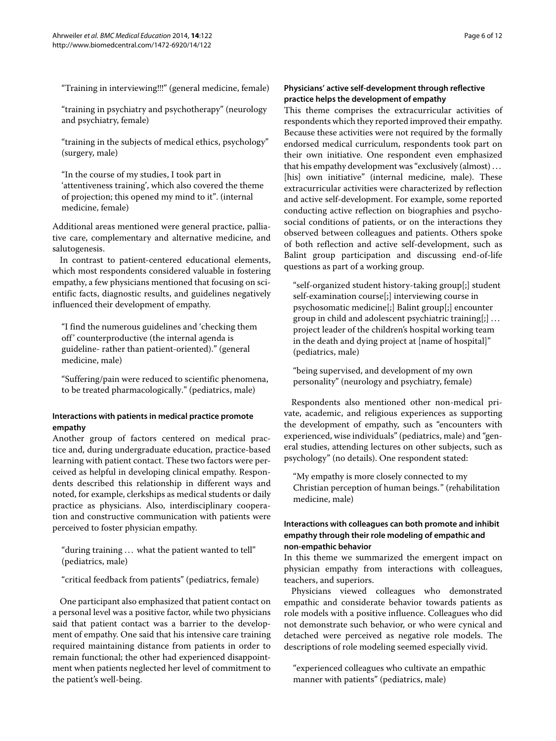"Training in interviewing!!!" (general medicine, female)

"training in psychiatry and psychotherapy" (neurology and psychiatry, female)

"training in the subjects of medical ethics, psychology" (surgery, male)

"In the course of my studies, I took part in 'attentiveness training', which also covered the theme of projection; this opened my mind to it". (internal medicine, female)

Additional areas mentioned were general practice, palliative care, complementary and alternative medicine, and salutogenesis.

In contrast to patient-centered educational elements, which most respondents considered valuable in fostering empathy, a few physicians mentioned that focusing on scientific facts, diagnostic results, and guidelines negatively influenced their development of empathy.

"I find the numerous guidelines and 'checking them off' counterproductive (the internal agenda is guideline- rather than patient-oriented)." (general medicine, male)

"Suffering/pain were reduced to scientific phenomena, to be treated pharmacologically." (pediatrics, male)

## **Interactions with patients in medical practice promote empathy**

Another group of factors centered on medical practice and, during undergraduate education, practice-based learning with patient contact. These two factors were perceived as helpful in developing clinical empathy. Respondents described this relationship in different ways and noted, for example, clerkships as medical students or daily practice as physicians. Also, interdisciplinary cooperation and constructive communication with patients were perceived to foster physician empathy.

"during training . . . what the patient wanted to tell" (pediatrics, male)

"critical feedback from patients" (pediatrics, female)

One participant also emphasized that patient contact on a personal level was a positive factor, while two physicians said that patient contact was a barrier to the development of empathy. One said that his intensive care training required maintaining distance from patients in order to remain functional; the other had experienced disappointment when patients neglected her level of commitment to the patient's well-being.

## **Physicians' active self-development through reflective practice helps the development of empathy**

This theme comprises the extracurricular activities of respondents which they reported improved their empathy. Because these activities were not required by the formally endorsed medical curriculum, respondents took part on their own initiative. One respondent even emphasized that his empathy development was "exclusively (almost) . . . [his] own initiative" (internal medicine, male). These extracurricular activities were characterized by reflection and active self-development. For example, some reported conducting active reflection on biographies and psychosocial conditions of patients, or on the interactions they observed between colleagues and patients. Others spoke of both reflection and active self-development, such as Balint group participation and discussing end-of-life questions as part of a working group.

"self-organized student history-taking group[;] student self-examination course[;] interviewing course in psychosomatic medicine[;] Balint group[;] encounter group in child and adolescent psychiatric training[;] . . . project leader of the children's hospital working team in the death and dying project at [name of hospital]" (pediatrics, male)

"being supervised, and development of my own personality" (neurology and psychiatry, female)

Respondents also mentioned other non-medical private, academic, and religious experiences as supporting the development of empathy, such as "encounters with experienced, wise individuals" (pediatrics, male) and "general studies, attending lectures on other subjects, such as psychology" (no details). One respondent stated:

"My empathy is more closely connected to my Christian perception of human beings. " (rehabilitation medicine, male)

## **Interactions with colleagues can both promote and inhibit empathy through their role modeling of empathic and non-empathic behavior**

In this theme we summarized the emergent impact on physician empathy from interactions with colleagues, teachers, and superiors.

Physicians viewed colleagues who demonstrated empathic and considerate behavior towards patients as role models with a positive influence. Colleagues who did not demonstrate such behavior, or who were cynical and detached were perceived as negative role models. The descriptions of role modeling seemed especially vivid.

"experienced colleagues who cultivate an empathic manner with patients" (pediatrics, male)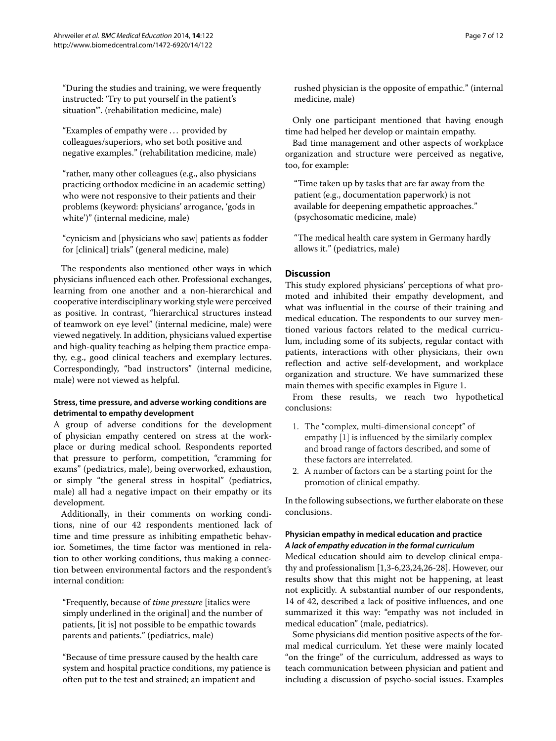"During the studies and training, we were frequently instructed: 'Try to put yourself in the patient's situation"'. (rehabilitation medicine, male)

"Examples of empathy were . . . provided by colleagues/superiors, who set both positive and negative examples." (rehabilitation medicine, male)

"rather, many other colleagues (e.g., also physicians practicing orthodox medicine in an academic setting) who were not responsive to their patients and their problems (keyword: physicians' arrogance, 'gods in white')" (internal medicine, male)

"cynicism and [physicians who saw] patients as fodder for [clinical] trials" (general medicine, male)

The respondents also mentioned other ways in which physicians influenced each other. Professional exchanges, learning from one another and a non-hierarchical and cooperative interdisciplinary working style were perceived as positive. In contrast, "hierarchical structures instead of teamwork on eye level" (internal medicine, male) were viewed negatively. In addition, physicians valued expertise and high-quality teaching as helping them practice empathy, e.g., good clinical teachers and exemplary lectures. Correspondingly, "bad instructors" (internal medicine, male) were not viewed as helpful.

#### **Stress, time pressure, and adverse working conditions are detrimental to empathy development**

A group of adverse conditions for the development of physician empathy centered on stress at the workplace or during medical school. Respondents reported that pressure to perform, competition, "cramming for exams" (pediatrics, male), being overworked, exhaustion, or simply "the general stress in hospital" (pediatrics, male) all had a negative impact on their empathy or its development.

Additionally, in their comments on working conditions, nine of our 42 respondents mentioned lack of time and time pressure as inhibiting empathetic behavior. Sometimes, the time factor was mentioned in relation to other working conditions, thus making a connection between environmental factors and the respondent's internal condition:

"Frequently, because of *time pressure* [italics were simply underlined in the original] and the number of patients, [it is] not possible to be empathic towards parents and patients." (pediatrics, male)

"Because of time pressure caused by the health care system and hospital practice conditions, my patience is often put to the test and strained; an impatient and

rushed physician is the opposite of empathic." (internal medicine, male)

Only one participant mentioned that having enough time had helped her develop or maintain empathy.

Bad time management and other aspects of workplace organization and structure were perceived as negative, too, for example:

"Time taken up by tasks that are far away from the patient (e.g., documentation paperwork) is not available for deepening empathetic approaches." (psychosomatic medicine, male)

"The medical health care system in Germany hardly allows it." (pediatrics, male)

## <span id="page-6-0"></span>**Discussion**

This study explored physicians' perceptions of what promoted and inhibited their empathy development, and what was influential in the course of their training and medical education. The respondents to our survey mentioned various factors related to the medical curriculum, including some of its subjects, regular contact with patients, interactions with other physicians, their own reflection and active self-development, and workplace organization and structure. We have summarized these main themes with specific examples in Figure [1.](#page-3-1)

From these results, we reach two hypothetical conclusions:

- 1. The "complex, multi-dimensional concept" of empathy [\[1\]](#page-10-0) is influenced by the similarly complex and broad range of factors described, and some of these factors are interrelated.
- 2. A number of factors can be a starting point for the promotion of clinical empathy.

In the following subsections, we further elaborate on these conclusions.

#### **Physician empathy in medical education and practice** *A lack of empathy education in the formal curriculum*

Medical education should aim to develop clinical empathy and professionalism [\[1,](#page-10-0)[3-](#page-10-2)[6](#page-10-23)[,23](#page-10-17)[,24](#page-10-24)[,26-](#page-10-25)[28\]](#page-10-18). However, our results show that this might not be happening, at least not explicitly. A substantial number of our respondents, 14 of 42, described a lack of positive influences, and one summarized it this way: "empathy was not included in medical education" (male, pediatrics).

Some physicians did mention positive aspects of the formal medical curriculum. Yet these were mainly located "on the fringe" of the curriculum, addressed as ways to teach communication between physician and patient and including a discussion of psycho-social issues. Examples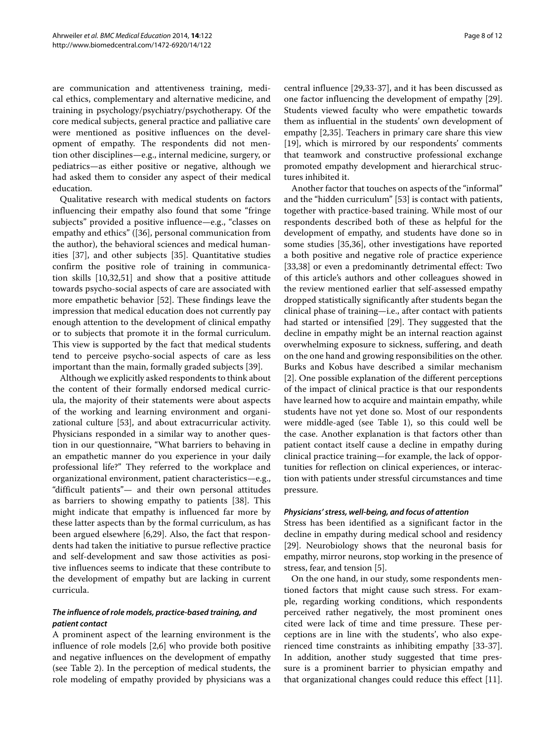are communication and attentiveness training, medical ethics, complementary and alternative medicine, and training in psychology/psychiatry/psychotherapy. Of the core medical subjects, general practice and palliative care were mentioned as positive influences on the development of empathy. The respondents did not mention other disciplines—e.g., internal medicine, surgery, or pediatrics—as either positive or negative, although we had asked them to consider any aspect of their medical education.

Qualitative research with medical students on factors influencing their empathy also found that some "fringe subjects" provided a positive influence—e.g., "classes on empathy and ethics" ([\[36\]](#page-11-14), personal communication from the author), the behavioral sciences and medical humanities [\[37\]](#page-11-0), and other subjects [\[35\]](#page-11-15). Quantitative studies confirm the positive role of training in communication skills [\[10](#page-10-6)[,32](#page-10-21)[,51\]](#page-11-16) and show that a positive attitude towards psycho-social aspects of care are associated with more empathetic behavior [\[52\]](#page-11-17). These findings leave the impression that medical education does not currently pay enough attention to the development of clinical empathy or to subjects that promote it in the formal curriculum. This view is supported by the fact that medical students tend to perceive psycho-social aspects of care as less important than the main, formally graded subjects [\[39\]](#page-11-2).

Although we explicitly asked respondents to think about the content of their formally endorsed medical curricula, the majority of their statements were about aspects of the working and learning environment and organizational culture [\[53\]](#page-11-18), and about extracurricular activity. Physicians responded in a similar way to another question in our questionnaire, "What barriers to behaving in an empathetic manner do you experience in your daily professional life?" They referred to the workplace and organizational environment, patient characteristics—e.g., "difficult patients"— and their own personal attitudes as barriers to showing empathy to patients [\[38\]](#page-11-1). This might indicate that empathy is influenced far more by these latter aspects than by the formal curriculum, as has been argued elsewhere [\[6](#page-10-23)[,29\]](#page-10-19). Also, the fact that respondents had taken the initiative to pursue reflective practice and self-development and saw those activities as positive influences seems to indicate that these contribute to the development of empathy but are lacking in current curricula.

## *The influence of role models, practice-based training, and patient contact*

A prominent aspect of the learning environment is the influence of role models [\[2](#page-10-1)[,6\]](#page-10-23) who provide both positive and negative influences on the development of empathy (see Table [2\)](#page-4-0). In the perception of medical students, the role modeling of empathy provided by physicians was a

central influence [\[29,](#page-10-19)[33-](#page-10-22)[37\]](#page-11-0), and it has been discussed as one factor influencing the development of empathy [\[29\]](#page-10-19). Students viewed faculty who were empathetic towards them as influential in the students' own development of empathy [\[2,](#page-10-1)[35\]](#page-11-15). Teachers in primary care share this view [\[19\]](#page-10-26), which is mirrored by our respondents' comments that teamwork and constructive professional exchange promoted empathy development and hierarchical structures inhibited it.

Another factor that touches on aspects of the "informal" and the "hidden curriculum" [\[53\]](#page-11-18) is contact with patients, together with practice-based training. While most of our respondents described both of these as helpful for the development of empathy, and students have done so in some studies [\[35,](#page-11-15)[36\]](#page-11-14), other investigations have reported a both positive and negative role of practice experience [\[33](#page-10-22)[,38\]](#page-11-1) or even a predominantly detrimental effect: Two of this article's authors and other colleagues showed in the review mentioned earlier that self-assessed empathy dropped statistically significantly after students began the clinical phase of training—i.e., after contact with patients had started or intensified [\[29\]](#page-10-19). They suggested that the decline in empathy might be an internal reaction against overwhelming exposure to sickness, suffering, and death on the one hand and growing responsibilities on the other. Burks and Kobus have described a similar mechanism [\[2\]](#page-10-1). One possible explanation of the different perceptions of the impact of clinical practice is that our respondents have learned how to acquire and maintain empathy, while students have not yet done so. Most of our respondents were middle-aged (see Table [1\)](#page-3-0), so this could well be the case. Another explanation is that factors other than patient contact itself cause a decline in empathy during clinical practice training—for example, the lack of opportunities for reflection on clinical experiences, or interaction with patients under stressful circumstances and time pressure.

#### *Physicians' stress, well-being, and focus of attention*

Stress has been identified as a significant factor in the decline in empathy during medical school and residency [\[29\]](#page-10-19). Neurobiology shows that the neuronal basis for empathy, mirror neurons, stop working in the presence of stress, fear, and tension [\[5\]](#page-10-4).

On the one hand, in our study, some respondents mentioned factors that might cause such stress. For example, regarding working conditions, which respondents perceived rather negatively, the most prominent ones cited were lack of time and time pressure. These perceptions are in line with the students', who also experienced time constraints as inhibiting empathy [\[33](#page-10-22)[-37\]](#page-11-0). In addition, another study suggested that time pressure is a prominent barrier to physician empathy and that organizational changes could reduce this effect [\[11\]](#page-10-7).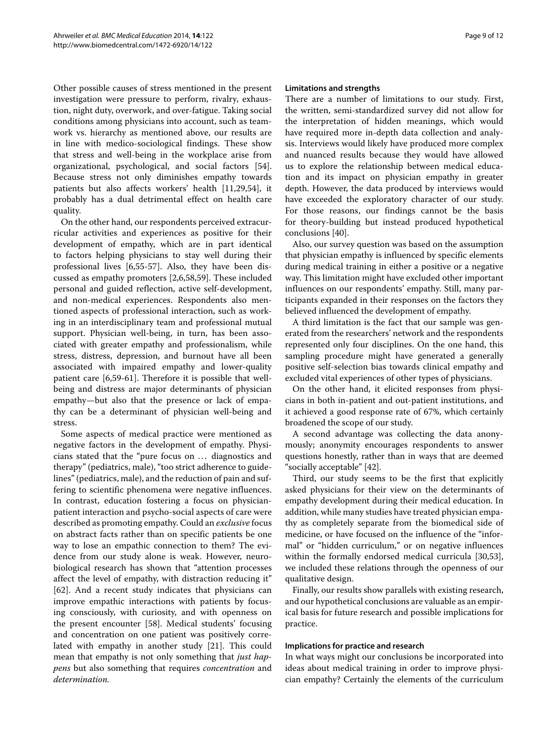Other possible causes of stress mentioned in the present investigation were pressure to perform, rivalry, exhaustion, night duty, overwork, and over-fatigue. Taking social conditions among physicians into account, such as teamwork vs. hierarchy as mentioned above, our results are in line with medico-sociological findings. These show that stress and well-being in the workplace arise from organizational, psychological, and social factors [\[54\]](#page-11-19). Because stress not only diminishes empathy towards patients but also affects workers' health [\[11,](#page-10-7)[29,](#page-10-19)[54\]](#page-11-19), it probably has a dual detrimental effect on health care quality.

On the other hand, our respondents perceived extracurricular activities and experiences as positive for their development of empathy, which are in part identical to factors helping physicians to stay well during their professional lives [\[6,](#page-10-23)[55](#page-11-20)[-57\]](#page-11-21). Also, they have been discussed as empathy promoters [\[2,](#page-10-1)[6](#page-10-23)[,58](#page-11-22)[,59\]](#page-11-23). These included personal and guided reflection, active self-development, and non-medical experiences. Respondents also mentioned aspects of professional interaction, such as working in an interdisciplinary team and professional mutual support. Physician well-being, in turn, has been associated with greater empathy and professionalism, while stress, distress, depression, and burnout have all been associated with impaired empathy and lower-quality patient care [\[6,](#page-10-23)[59](#page-11-23)[-61\]](#page-11-24). Therefore it is possible that wellbeing and distress are major determinants of physician empathy—but also that the presence or lack of empathy can be a determinant of physician well-being and stress.

Some aspects of medical practice were mentioned as negative factors in the development of empathy. Physicians stated that the "pure focus on ... diagnostics and therapy" (pediatrics, male), "too strict adherence to guidelines" (pediatrics, male), and the reduction of pain and suffering to scientific phenomena were negative influences. In contrast, education fostering a focus on physicianpatient interaction and psycho-social aspects of care were described as promoting empathy. Could an *exclusive* focus on abstract facts rather than on specific patients be one way to lose an empathic connection to them? The evidence from our study alone is weak. However, neurobiological research has shown that "attention processes affect the level of empathy, with distraction reducing it" [\[62\]](#page-11-25). And a recent study indicates that physicians can improve empathic interactions with patients by focusing consciously, with curiosity, and with openness on the present encounter [\[58\]](#page-11-22). Medical students' focusing and concentration on one patient was positively correlated with empathy in another study [\[21\]](#page-10-15). This could mean that empathy is not only something that *just happens* but also something that requires *concentration* and *determination.*

#### **Limitations and strengths**

There are a number of limitations to our study. First, the written, semi-standardized survey did not allow for the interpretation of hidden meanings, which would have required more in-depth data collection and analysis. Interviews would likely have produced more complex and nuanced results because they would have allowed us to explore the relationship between medical education and its impact on physician empathy in greater depth. However, the data produced by interviews would have exceeded the exploratory character of our study. For those reasons, our findings cannot be the basis for theory-building but instead produced hypothetical conclusions [\[40\]](#page-11-3).

Also, our survey question was based on the assumption that physician empathy is influenced by specific elements during medical training in either a positive or a negative way. This limitation might have excluded other important influences on our respondents' empathy. Still, many participants expanded in their responses on the factors they believed influenced the development of empathy.

A third limitation is the fact that our sample was generated from the researchers' network and the respondents represented only four disciplines. On the one hand, this sampling procedure might have generated a generally positive self-selection bias towards clinical empathy and excluded vital experiences of other types of physicians.

On the other hand, it elicited responses from physicians in both in-patient and out-patient institutions, and it achieved a good response rate of 67%, which certainly broadened the scope of our study.

A second advantage was collecting the data anonymously; anonymity encourages respondents to answer questions honestly, rather than in ways that are deemed "socially acceptable" [\[42\]](#page-11-5).

Third, our study seems to be the first that explicitly asked physicians for their view on the determinants of empathy development during their medical education. In addition, while many studies have treated physician empathy as completely separate from the biomedical side of medicine, or have focused on the influence of the "informal" or "hidden curriculum," or on negative influences within the formally endorsed medical curricula [\[30,](#page-10-27)[53\]](#page-11-18), we included these relations through the openness of our qualitative design.

Finally, our results show parallels with existing research, and our hypothetical conclusions are valuable as an empirical basis for future research and possible implications for practice.

#### **Implications for practice and research**

In what ways might our conclusions be incorporated into ideas about medical training in order to improve physician empathy? Certainly the elements of the curriculum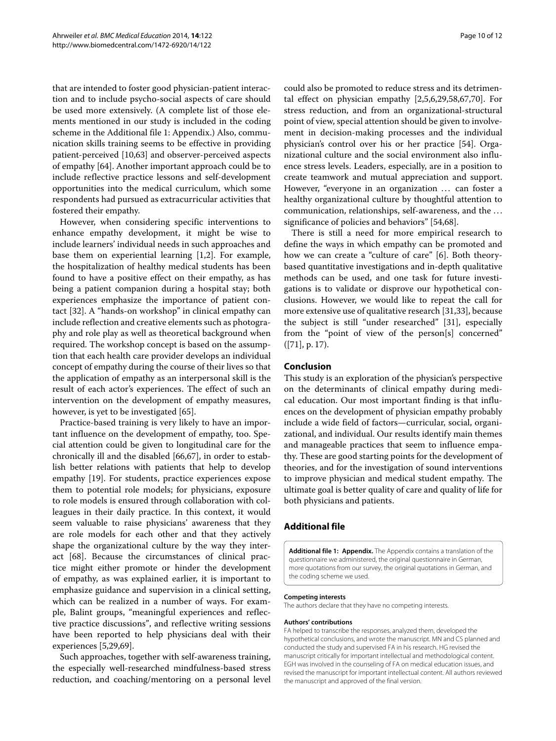that are intended to foster good physician-patient interaction and to include psycho-social aspects of care should be used more extensively. (A complete list of those elements mentioned in our study is included in the coding scheme in the Additional file [1:](#page-9-0) Appendix.) Also, communication skills training seems to be effective in providing patient-perceived [\[10](#page-10-6)[,63\]](#page-11-26) and observer-perceived aspects of empathy [\[64\]](#page-11-27). Another important approach could be to include reflective practice lessons and self-development opportunities into the medical curriculum, which some respondents had pursued as extracurricular activities that fostered their empathy.

However, when considering specific interventions to enhance empathy development, it might be wise to include learners' individual needs in such approaches and base them on experiential learning [\[1](#page-10-0)[,2\]](#page-10-1). For example, the hospitalization of healthy medical students has been found to have a positive effect on their empathy, as has being a patient companion during a hospital stay; both experiences emphasize the importance of patient contact [\[32\]](#page-10-21). A "hands-on workshop" in clinical empathy can include reflection and creative elements such as photography and role play as well as theoretical background when required. The workshop concept is based on the assumption that each health care provider develops an individual concept of empathy during the course of their lives so that the application of empathy as an interpersonal skill is the result of each actor's experiences. The effect of such an intervention on the development of empathy measures, however, is yet to be investigated [\[65\]](#page-11-28).

Practice-based training is very likely to have an important influence on the development of empathy, too. Special attention could be given to longitudinal care for the chronically ill and the disabled [\[66](#page-11-29)[,67\]](#page-11-30), in order to establish better relations with patients that help to develop empathy [\[19\]](#page-10-26). For students, practice experiences expose them to potential role models; for physicians, exposure to role models is ensured through collaboration with colleagues in their daily practice. In this context, it would seem valuable to raise physicians' awareness that they are role models for each other and that they actively shape the organizational culture by the way they interact [\[68\]](#page-11-31). Because the circumstances of clinical practice might either promote or hinder the development of empathy, as was explained earlier, it is important to emphasize guidance and supervision in a clinical setting, which can be realized in a number of ways. For example, Balint groups, "meaningful experiences and reflective practice discussions", and reflective writing sessions have been reported to help physicians deal with their experiences [\[5,](#page-10-4)[29,](#page-10-19)[69\]](#page-11-32).

Such approaches, together with self-awareness training, the especially well-researched mindfulness-based stress reduction, and coaching/mentoring on a personal level could also be promoted to reduce stress and its detrimental effect on physician empathy [\[2](#page-10-1)[,5](#page-10-4)[,6](#page-10-23)[,29,](#page-10-19)[58,](#page-11-22)[67,](#page-11-30)[70\]](#page-11-33). For stress reduction, and from an organizational-structural point of view, special attention should be given to involvement in decision-making processes and the individual physician's control over his or her practice [\[54\]](#page-11-19). Organizational culture and the social environment also influence stress levels. Leaders, especially, are in a position to create teamwork and mutual appreciation and support. However, "everyone in an organization ... can foster a healthy organizational culture by thoughtful attention to communication, relationships, self-awareness, and the . . . significance of policies and behaviors" [\[54,](#page-11-19)[68\]](#page-11-31).

There is still a need for more empirical research to define the ways in which empathy can be promoted and how we can create a "culture of care" [\[6\]](#page-10-23). Both theorybased quantitative investigations and in-depth qualitative methods can be used, and one task for future investigations is to validate or disprove our hypothetical conclusions. However, we would like to repeat the call for more extensive use of qualitative research [\[31,](#page-10-20)[33\]](#page-10-22), because the subject is still "under researched" [\[31\]](#page-10-20), especially from the "point of view of the person[s] concerned" ([\[71\]](#page-11-34), p. 17).

#### **Conclusion**

This study is an exploration of the physician's perspective on the determinants of clinical empathy during medical education. Our most important finding is that influences on the development of physician empathy probably include a wide field of factors—curricular, social, organizational, and individual. Our results identify main themes and manageable practices that seem to influence empathy. These are good starting points for the development of theories, and for the investigation of sound interventions to improve physician and medical student empathy. The ultimate goal is better quality of care and quality of life for both physicians and patients.

#### **Additional file**

<span id="page-9-0"></span>**[Additional file 1:](http://www.biomedcentral.com/content/supplementary/1472-6920-14-122-S1.pdf) Appendix.** The Appendix contains a translation of the questionnaire we administered, the original questionnaire in German, more quotations from our survey, the original quotations in German, and the coding scheme we used.

#### **Competing interests**

The authors declare that they have no competing interests.

#### **Authors' contributions**

FA helped to transcribe the responses, analyzed them, developed the hypothetical conclusions, and wrote the manuscript. MN and CS planned and conducted the study and supervised FA in his research. HG revised the manuscript critically for important intellectual and methodological content. EGH was involved in the counseling of FA on medical education issues, and revised the manuscript for important intellectual content. All authors reviewed the manuscript and approved of the final version.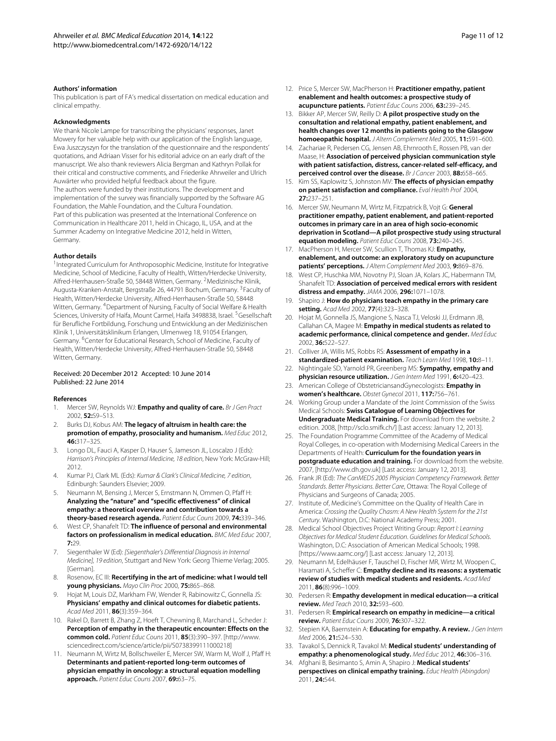#### **Authors' information**

This publication is part of FA's medical dissertation on medical education and clinical empathy.

#### **Acknowledgments**

We thank Nicole Lampe for transcribing the physicians' responses, Janet Mowery for her valuable help with our application of the English language, Ewa Juszczyszyn for the translation of the questionnaire and the respondents' quotations, and Adriaan Visser for his editorial advice on an early draft of the manuscript. We also thank reviewers Alicia Bergman and Kathryn Pollak for their critical and constructive comments, and Friederike Ahrweiler and Ulrich Auwärter who provided helpful feedback about the figure. The authors were funded by their institutions. The development and implementation of the survey was financially supported by the Software AG Foundation, the Mahle Foundation, and the Cultura Foundation. Part of this publication was presented at the International Conference on Communication in Healthcare 2011, held in Chicago, IL, USA, and at the Summer Academy on Integrative Medicine 2012, held in Witten, Germany.

#### **Author details**

<sup>1</sup> Integrated Curriculum for Anthroposophic Medicine, Institute for Integrative Medicine, School of Medicine, Faculty of Health, Witten/Herdecke University, Alfred-Herrhausen-Straße 50, 58448 Witten, Germany. <sup>2</sup>Medizinische Klinik, Augusta-Kranken-Anstalt, Bergstraße 26, 44791 Bochum, Germany. <sup>3</sup>Faculty of Health, Witten/Herdecke University, Alfred-Herrhausen-Straße 50, 58448 Witten, Germany. 4Department of Nursing, Faculty of Social Welfare & Health Sciences, University of Haifa, Mount Carmel, Haifa 3498838, Israel. <sup>5</sup>Gesellschaft für Berufliche Fortbildung, Forschung und Entwicklung an der Medizinischen Klinik 1, Universitätsklinikum Erlangen, Ulmenweg 18, 91054 Erlangen, Germany. 6Center for Educational Research, School of Medicine, Faculty of Health, Witten/Herdecke University, Alfred-Herrhausen-Straße 50, 58448 Witten, Germany.

#### Received: 20 December 2012 Accepted: 10 June 2014 Published: 22 June 2014

#### **References**

- <span id="page-10-0"></span>1. Mercer SW, Reynolds WJ: **Empathy and quality of care.** Br J Gen Pract 2002, **52:**S9–S13.
- <span id="page-10-1"></span>2. Burks DJ, Kobus AM: **The legacy of altruism in health care: the promotion of empathy, prosociality and humanism.** Med Educ 2012, **46:**317–325.
- <span id="page-10-2"></span>3. Longo DL, Fauci A, Kasper D, Hauser S, Jameson JL, Loscalzo J (Eds): Harrison's Principles of Internal Medicine, 18 edition, New York: McGraw-Hill; 2012.
- 4. Kumar PJ, Clark ML (Eds): Kumar & Clark's Clinical Medicine, 7 edition, Edinburgh: Saunders Elsevier; 2009.
- <span id="page-10-4"></span>5. Neumann M, Bensing J, Mercer S, Ernstmann N, Ommen O, Pfaff H: **Analyzing the "nature" and "specific effectiveness" of clinical empathy: a theoretical overview and contribution towards a theory-based research agenda.** Patient Educ Couns 2009, **74:**339–346.
- <span id="page-10-23"></span>6. West CP, Shanafelt TD: **The influence of personal and environmental factors on professionalism in medical education.** BMC Med Educ 2007, **7:**29.
- 7. Siegenthaler W (Ed): [Siegenthaler's Differential Diagnosis in Internal Medicine], 19 edition, Stuttgart and New York: Georg Thieme Verlag; 2005. [German].
- <span id="page-10-3"></span>8. Rosenow, EC III: **Recertifying in the art of medicine: what I would tell young physicians.** Mayo Clin Proc 2000, **75:**865–868.
- <span id="page-10-5"></span>9. Hojat M, Louis DZ, Markham FW, Wender R, Rabinowitz C, Gonnella JS: **Physicians' empathy and clinical outcomes for diabetic patients.** Acad Med 2011, **86**(3):359–364.
- <span id="page-10-6"></span>10. Rakel D, Barrett B, Zhang Z, Hoeft T, Chewning B, Marchand L, Scheder J: **Perception of empathy in the therapeutic encounter: Effects on the common cold.** Patient Educ Couns 2011, **85**(3):390–397. [\[http://www.](http://www.sciencedirect.com/science/article/pii/S0738399111000218) [sciencedirect.com/science/article/pii/S0738399111000218\]](http://www.sciencedirect.com/science/article/pii/S0738399111000218)
- <span id="page-10-7"></span>11. Neumann M, Wirtz M, Bollschweiler E, Mercer SW, Warm M, Wolf J, Pfaff H: **Determinants and patient-reported long-term outcomes of physician empathy in oncology: a structural equation modelling approach.** Patient Educ Couns 2007, **69:**63–75.
- <span id="page-10-10"></span>12. Price S, Mercer SW, MacPherson H: **Practitioner empathy, patient enablement and health outcomes: a prospective study of acupuncture patients.** Patient Educ Couns 2006, **63:**239–245.
- <span id="page-10-11"></span>13. Bikker AP, Mercer SW, Reilly D: **A pilot prospective study on the consultation and relational empathy, patient enablement, and health changes over 12 months in patients going to the Glasgow homoeopathic hospital.** J Altern Complement Med 2005, **11:**591–600.
- <span id="page-10-8"></span>14. Zachariae R, Pedersen CG, Jensen AB, Ehrnrooth E, Rossen PB, van der Maase, H: **Association of perceived physician communication style with patient satisfaction, distress, cancer-related self-efficacy, and perceived control over the disease.** Br J Cancer 2003, **88:**658–665.
- <span id="page-10-9"></span>15. Kim SS, Kaplowitz S, Johnston MV: **The effects of physician empathy on patient satisfaction and compliance.** Eval Health Prof 2004, **27:**237–251.
- <span id="page-10-12"></span>16. Mercer SW, Neumann M, Wirtz M, Fitzpatrick B, Vojt G: **General practitioner empathy, patient enablement, and patient-reported outcomes in primary care in an area of high socio-economic deprivation in Scotland—A pilot prospective study using structural equation modeling.** Patient Educ Couns 2008, **73:**240–245.
- <span id="page-10-13"></span>17. MacPherson H, Mercer SW, Scullion T, Thomas KJ: **Empathy, enablement, and outcome: an exploratory study on acupuncture patients' perceptions.** J Altern Complement Med 2003, **9:**869–876.
- <span id="page-10-14"></span>18. West CP, Huschka MM, Novotny PJ, Sloan JA, Kolars JC, Habermann TM, Shanafelt TD: **Association of perceived medical errors with resident distress and empathy.** JAMA 2006, **296:**1071–1078.
- <span id="page-10-26"></span>19. Shapiro J: **How do physicians teach empathy in the primary care setting.** Acad Med 2002, **77**(4):323–328.
- 20. Hojat M, Gonnella JS, Mangione S, Nasca TJ, Veloski JJ, Erdmann JB, Callahan CA, Magee M: **Empathy in medical students as related to academic performance, clinical competence and gender.** Med Educ 2002, **36:**522–527.
- <span id="page-10-15"></span>21. Colliver JA, Willis MS, Robbs RS: **Assessment of empathy in a standardized-patient examination.** Teach Learn Med 1998, **10:**8–11.
- <span id="page-10-16"></span>22. Nightingale SD, Yarnold PR, Greenberg MS: **Sympathy, empathy and physician resource utilization.** J Gen Intern Med 1991, **6:**420–423.
- <span id="page-10-17"></span>23. American College of ObstetriciansandGynecologists: **Empathy in women's healthcare.** Obstet Gynecol 2011, **117:**756–761.
- <span id="page-10-24"></span>24. Working Group under a Mandate of the Joint Commission of the Swiss Medical Schools: **Swiss Catalogue of Learning Objectives for Undergraduate Medical Training.** For download from the website. 2 edition. 2008, [\[http://sclo.smifk.ch/\]](http://sclo.smifk.ch/) [Last access: January 12, 2013].
- 25. The Foundation Programme Committee of the Academy of Medical Royal Colleges, in co-operation with Modernising Medical Careers in the Departments of Health: **Curriculum for the foundation years in postgraduate education and training.** For download from the website. 2007, [\[http://www.dh.gov.uk\]](http://www.dh.gov.uk) [Last access: January 12, 2013].
- <span id="page-10-25"></span>26. Frank JR (Ed): The CanMEDS 2005 Physician Competency Framework. Better Standards. Better Physicians. Better Care, Ottawa: The Royal College of Physicians and Surgeons of Canada; 2005.
- 27. Institute of, Medicine's Committee on the Quality of Health Care in America: Crossing the Quality Chasm: A New Health System for the 21st Century. Washington, D.C: National Academy Press; 2001.
- <span id="page-10-18"></span>28. Medical School Objectives Project Writing Group: Report I: Learning Objectives for Medical Student Education. Guidelines for Medical Schools. Washington, D.C: Association of American Medical Schools; 1998. [\[https://www.aamc.org/\]](https://www.aamc.org/) [Last access: January 12, 2013].
- <span id="page-10-19"></span>29. Neumann M, Edelhäuser F, Tauschel D, Fischer MR, Wirtz M, Woopen C, Haramati A, Scheffer C: **Empathy decline and its reasons: a systematic review of studies with medical students and residents.** Acad Med 2011, **86**(8):996–1009.
- <span id="page-10-27"></span>30. Pedersen R: **Empathy development in medical education—a critical review.** Med Teach 2010, **32:**593–600.
- <span id="page-10-20"></span>31. Pedersen R: **Empirical research on empathy in medicine—a critical review.** Patient Educ Couns 2009, **76:**307–322.
- <span id="page-10-21"></span>32. Stepien KA, Baernstein A: **Educating for empathy. A review.** J Gen Intern Med 2006, **21:**524–530.
- <span id="page-10-22"></span>33. Tavakol S, Dennick R, Tavakol M: **Medical students' understanding of empathy: a phenomenological study.** Med Educ 2012, **46:**306–316.
- 34. Afghani B, Besimanto S, Amin A, Shapiro J: **Medical students' perspectives on clinical empathy training.** Educ Health (Abingdon) 2011, **24:**544.